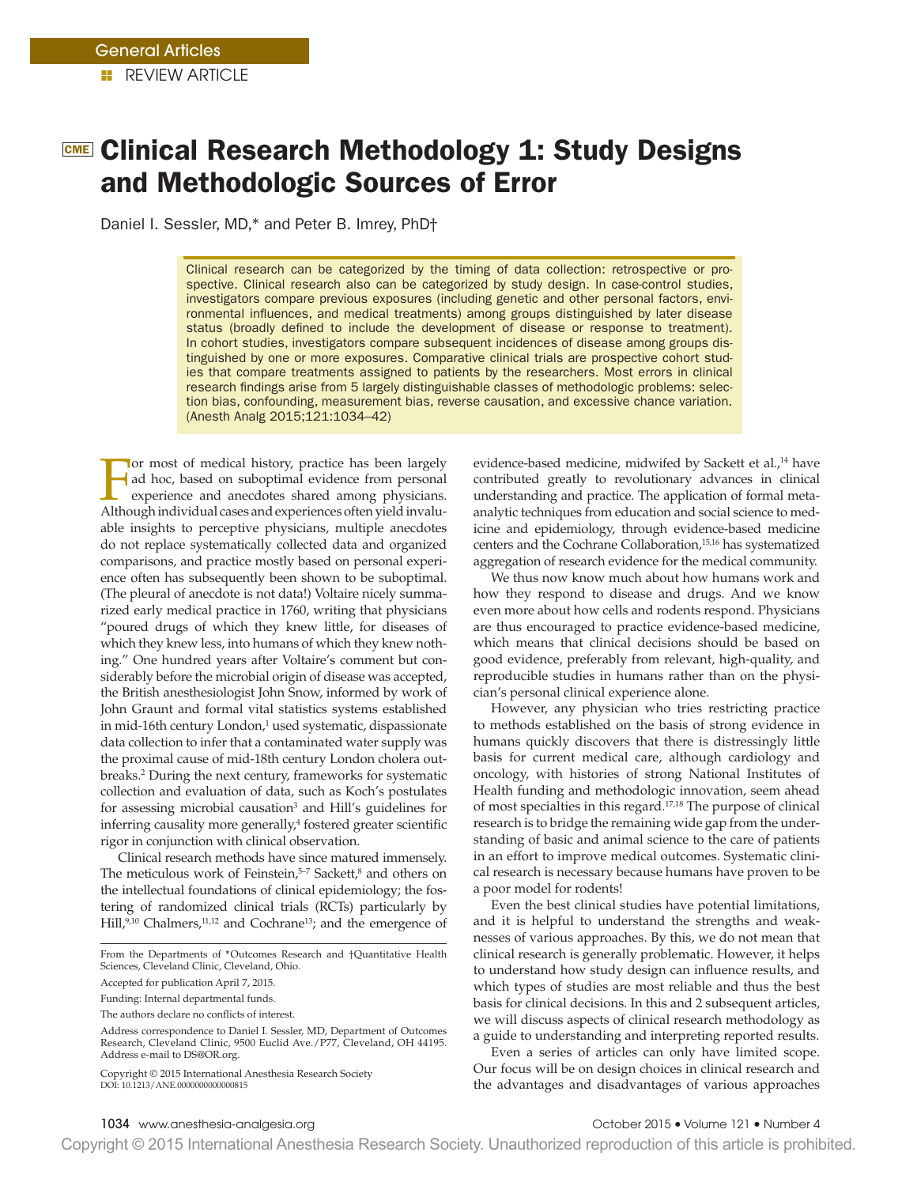# **CHING CLINICAL Research Methodology 1: Study Designs** and Methodologic Sources of Error

Daniel I. Sessler, MD,\* and Peter B. Imrey, PhD†

Clinical research can be categorized by the timing of data collection: retrospective or prospective. Clinical research also can be categorized by study design. In case-control studies, investigators compare previous exposures (including genetic and other personal factors, environmental infuences, and medical treatments) among groups distinguished by later disease status (broadly defined to include the development of disease or response to treatment). In cohort studies, investigators compare subsequent incidences of disease among groups distinguished by one or more exposures. Comparative clinical trials are prospective cohort studies that compare treatments assigned to patients by the researchers. Most errors in clinical research fndings arise from 5 largely distinguishable classes of methodologic problems: selection bias, confounding, measurement bias, reverse causation, and excessive chance variation. (Anesth Analg 2015;121:1034–42)

For most of medical history, practice has been largely<br>ad hoc, based on suboptimal evidence from personal<br>experience and anecdotes shared among physicians.<br>Although individual cases and experiences often vield invaluad hoc, based on suboptimal evidence from personal experience and anecdotes shared among physicians. Although individual cases and experiences often yield invaluable insights to perceptive physicians, multiple anecdotes do not replace systematically collected data and organized comparisons, and practice mostly based on personal experience often has subsequently been shown to be suboptimal. (The pleural of anecdote is not data!) Voltaire nicely summarized early medical practice in 1760, writing that physicians "poured drugs of which they knew little, for diseases of which they knew less, into humans of which they knew nothing." One hundred years after Voltaire's comment but considerably before the microbial origin of disease was accepted, the British anesthesiologist John Snow, informed by work of John Graunt and formal vital statistics systems established in mid-16th century London,<sup>1</sup> used systematic, dispassionate data collection to infer that a contaminated water supply was the proximal cause of mid-18th century London cholera outbreaks.2 During the next century, frameworks for systematic collection and evaluation of data, such as Koch's postulates for assessing microbial causation<sup>3</sup> and Hill's guidelines for inferring causality more generally,<sup>4</sup> fostered greater scientific rigor in conjunction with clinical observation.

Clinical research methods have since matured immensely. The meticulous work of Feinstein,<sup>5-7</sup> Sackett,<sup>8</sup> and others on the intellectual foundations of clinical epidemiology; the fostering of randomized clinical trials (RCTs) particularly by Hill,<sup>9,10</sup> Chalmers,<sup>11,12</sup> and Cochrane<sup>13</sup>; and the emergence of

From the Departments of \*Outcomes Research and †Quantitative Health Sciences, Cleveland Clinic, Cleveland, Ohio.

Accepted for publication April 7, 2015.

Funding: Internal departmental funds.

The authors declare no conficts of interest.

Address correspondence to Daniel I. Sessler, MD, Department of Outcomes Research, Cleveland Clinic, 9500 Euclid Ave./P77, Cleveland, OH 44195. Address e-mail to DS@OR.org.

Copyright © 2015 International Anesthesia Research Society DOI: 10.1213/ANE.0000000000000815

evidence-based medicine, midwifed by Sackett et al.,<sup>14</sup> have contributed greatly to revolutionary advances in clinical understanding and practice. The application of formal metaanalytic techniques from education and social science to medicine and epidemiology, through evidence-based medicine centers and the Cochrane Collaboration,<sup>15,16</sup> has systematized aggregation of research evidence for the medical community.

We thus now know much about how humans work and how they respond to disease and drugs. And we know even more about how cells and rodents respond. Physicians are thus encouraged to practice evidence-based medicine, which means that clinical decisions should be based on good evidence, preferably from relevant, high-quality, and reproducible studies in humans rather than on the physician's personal clinical experience alone.

However, any physician who tries restricting practice to methods established on the basis of strong evidence in humans quickly discovers that there is distressingly little basis for current medical care, although cardiology and oncology, with histories of strong National Institutes of Health funding and methodologic innovation, seem ahead of most specialties in this regard.17,18 The purpose of clinical research is to bridge the remaining wide gap from the understanding of basic and animal science to the care of patients in an effort to improve medical outcomes. Systematic clinical research is necessary because humans have proven to be a poor model for rodents!

Even the best clinical studies have potential limitations, and it is helpful to understand the strengths and weaknesses of various approaches. By this, we do not mean that clinical research is generally problematic. However, it helps to understand how study design can infuence results, and which types of studies are most reliable and thus the best basis for clinical decisions. In this and 2 subsequent articles, we will discuss aspects of clinical research methodology as a guide to understanding and interpreting reported results.

Even a series of articles can only have limited scope. Our focus will be on design choices in clinical research and the advantages and disadvantages of various approaches

# 1034 www.anesthesia-analgesia.org October 2015 ڇ Volume 121 ڇ Number 4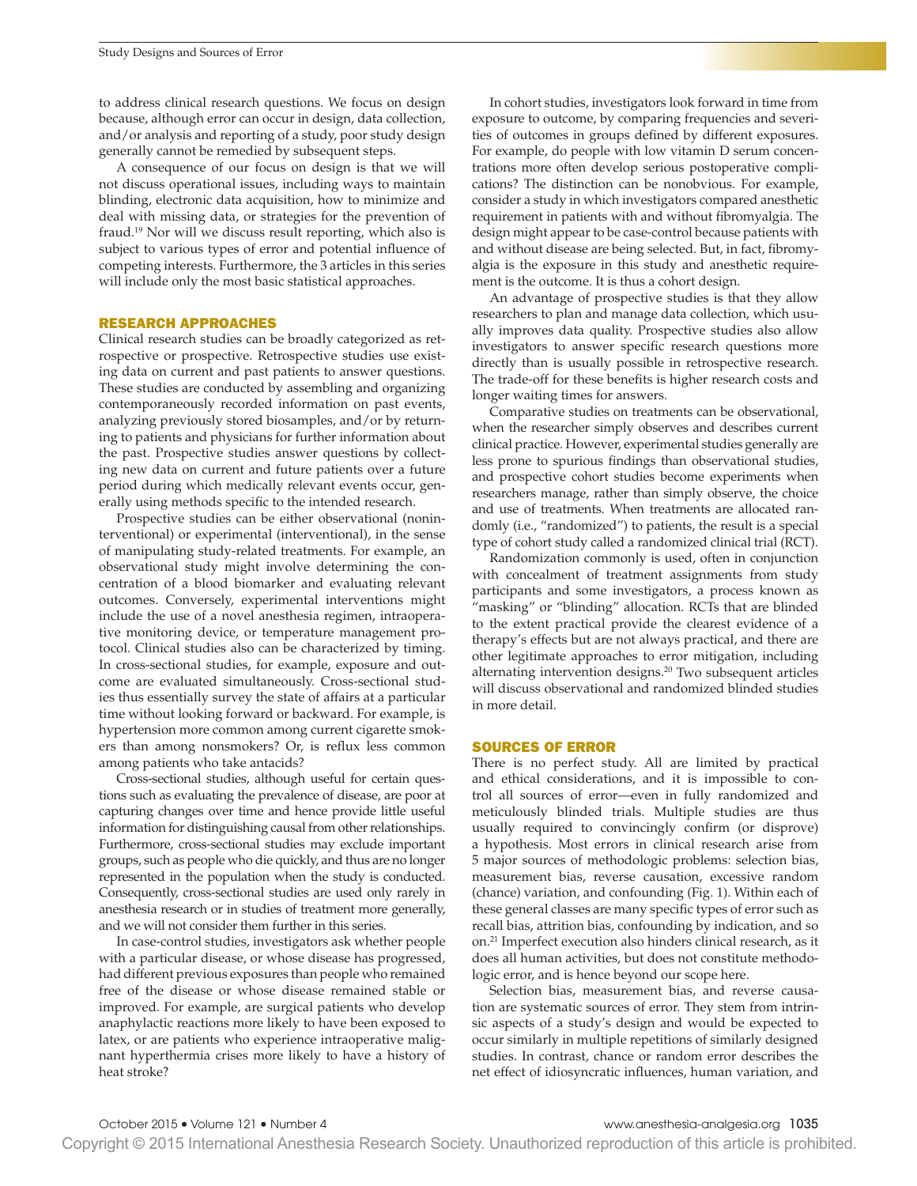to address clinical research questions. We focus on design because, although error can occur in design, data collection, and/or analysis and reporting of a study, poor study design generally cannot be remedied by subsequent steps.

A consequence of our focus on design is that we will not discuss operational issues, including ways to maintain blinding, electronic data acquisition, how to minimize and deal with missing data, or strategies for the prevention of fraud.19 Nor will we discuss result reporting, which also is subject to various types of error and potential infuence of competing interests. Furthermore, the 3 articles in this series will include only the most basic statistical approaches.

# RESEARCH APPROACHES

Clinical research studies can be broadly categorized as retrospective or prospective. Retrospective studies use existing data on current and past patients to answer questions. These studies are conducted by assembling and organizing contemporaneously recorded information on past events, analyzing previously stored biosamples, and/or by returning to patients and physicians for further information about the past. Prospective studies answer questions by collecting new data on current and future patients over a future period during which medically relevant events occur, generally using methods specific to the intended research.

Prospective studies can be either observational (noninterventional) or experimental (interventional), in the sense of manipulating study-related treatments. For example, an observational study might involve determining the concentration of a blood biomarker and evaluating relevant outcomes. Conversely, experimental interventions might include the use of a novel anesthesia regimen, intraoperative monitoring device, or temperature management protocol. Clinical studies also can be characterized by timing. In cross-sectional studies, for example, exposure and outcome are evaluated simultaneously. Cross-sectional studies thus essentially survey the state of affairs at a particular time without looking forward or backward. For example, is hypertension more common among current cigarette smokers than among nonsmokers? Or, is refux less common among patients who take antacids?

Cross-sectional studies, although useful for certain questions such as evaluating the prevalence of disease, are poor at capturing changes over time and hence provide little useful information for distinguishing causal from other relationships. Furthermore, cross-sectional studies may exclude important groups, such as people who die quickly, and thus are no longer represented in the population when the study is conducted. Consequently, cross-sectional studies are used only rarely in anesthesia research or in studies of treatment more generally, and we will not consider them further in this series.

In case-control studies, investigators ask whether people with a particular disease, or whose disease has progressed, had different previous exposures than people who remained free of the disease or whose disease remained stable or improved. For example, are surgical patients who develop anaphylactic reactions more likely to have been exposed to latex, or are patients who experience intraoperative malignant hyperthermia crises more likely to have a history of heat stroke?

In cohort studies, investigators look forward in time from exposure to outcome, by comparing frequencies and severities of outcomes in groups defned by different exposures. For example, do people with low vitamin D serum concentrations more often develop serious postoperative complications? The distinction can be nonobvious. For example, consider a study in which investigators compared anesthetic requirement in patients with and without fibromyalgia. The design might appear to be case-control because patients with and without disease are being selected. But, in fact, fibromyalgia is the exposure in this study and anesthetic requirement is the outcome. It is thus a cohort design.

An advantage of prospective studies is that they allow researchers to plan and manage data collection, which usually improves data quality. Prospective studies also allow investigators to answer specific research questions more directly than is usually possible in retrospective research. The trade-off for these benefits is higher research costs and longer waiting times for answers.

Comparative studies on treatments can be observational, when the researcher simply observes and describes current clinical practice. However, experimental studies generally are less prone to spurious fndings than observational studies, and prospective cohort studies become experiments when researchers manage, rather than simply observe, the choice and use of treatments. When treatments are allocated randomly (i.e., "randomized") to patients, the result is a special type of cohort study called a randomized clinical trial (RCT).

Randomization commonly is used, often in conjunction with concealment of treatment assignments from study participants and some investigators, a process known as "masking" or "blinding" allocation. RCTs that are blinded to the extent practical provide the clearest evidence of a therapy's effects but are not always practical, and there are other legitimate approaches to error mitigation, including alternating intervention designs.20 Two subsequent articles will discuss observational and randomized blinded studies in more detail.

# SOURCES OF ERROR

There is no perfect study. All are limited by practical and ethical considerations, and it is impossible to control all sources of error—even in fully randomized and meticulously blinded trials. Multiple studies are thus usually required to convincingly confrm (or disprove) a hypothesis. Most errors in clinical research arise from 5 major sources of methodologic problems: selection bias, measurement bias, reverse causation, excessive random (chance) variation, and confounding (Fig. 1). Within each of these general classes are many specific types of error such as recall bias, attrition bias, confounding by indication, and so on.21 Imperfect execution also hinders clinical research, as it does all human activities, but does not constitute methodologic error, and is hence beyond our scope here.

Selection bias, measurement bias, and reverse causation are systematic sources of error. They stem from intrinsic aspects of a study's design and would be expected to occur similarly in multiple repetitions of similarly designed studies. In contrast, chance or random error describes the net effect of idiosyncratic infuences, human variation, and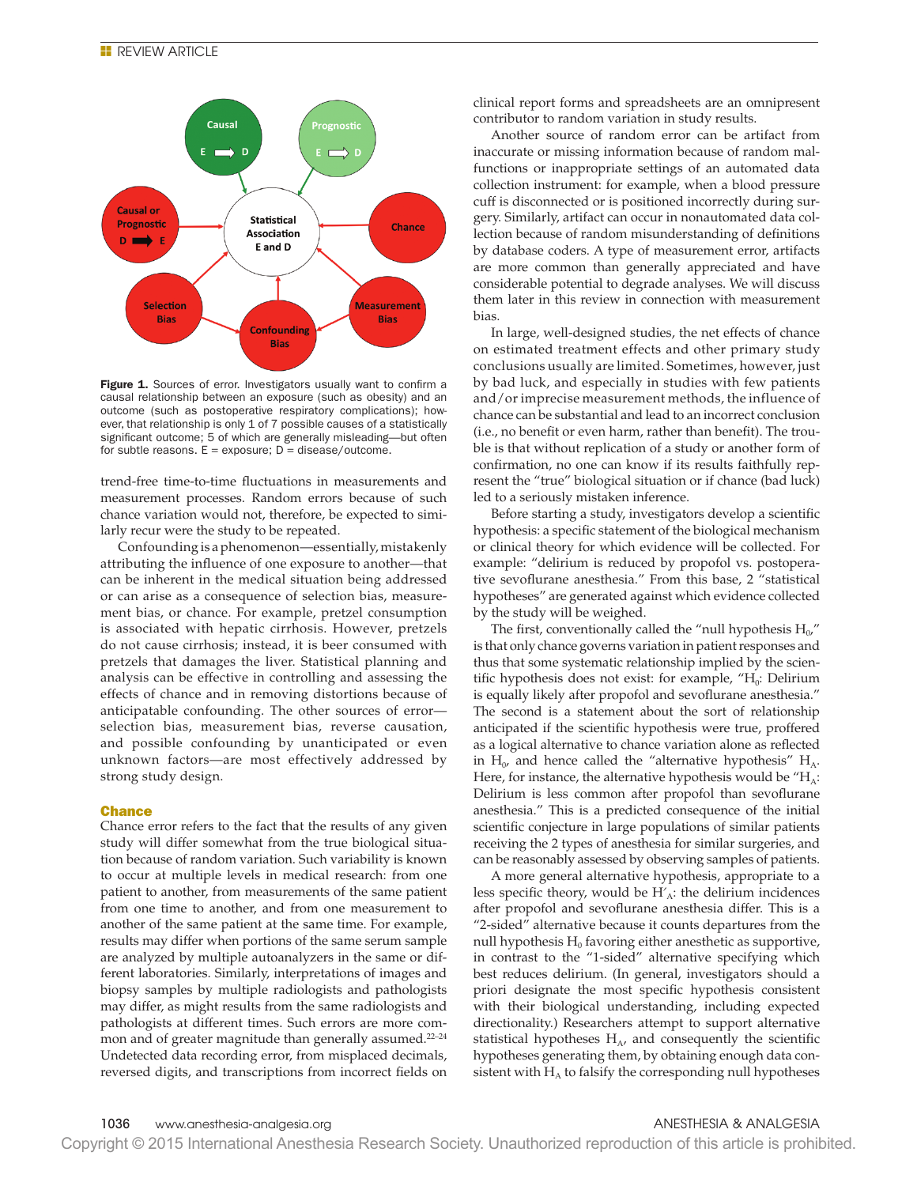

Figure 1. Sources of error. Investigators usually want to confirm a causal relationship between an exposure (such as obesity) and an outcome (such as postoperative respiratory complications); however, that relationship is only 1 of 7 possible causes of a statistically signifcant outcome; 5 of which are generally misleading—but often for subtle reasons.  $E =$  exposure;  $D =$  disease/outcome.

trend-free time-to-time fuctuations in measurements and measurement processes. Random errors because of such chance variation would not, therefore, be expected to similarly recur were the study to be repeated.

Confounding is a phenomenon—essentially, mistakenly attributing the infuence of one exposure to another—that can be inherent in the medical situation being addressed or can arise as a consequence of selection bias, measurement bias, or chance. For example, pretzel consumption is associated with hepatic cirrhosis. However, pretzels do not cause cirrhosis; instead, it is beer consumed with pretzels that damages the liver. Statistical planning and analysis can be effective in controlling and assessing the effects of chance and in removing distortions because of anticipatable confounding. The other sources of error selection bias, measurement bias, reverse causation, and possible confounding by unanticipated or even unknown factors—are most effectively addressed by strong study design.

# Chance

Chance error refers to the fact that the results of any given study will differ somewhat from the true biological situation because of random variation. Such variability is known to occur at multiple levels in medical research: from one patient to another, from measurements of the same patient from one time to another, and from one measurement to another of the same patient at the same time. For example, results may differ when portions of the same serum sample are analyzed by multiple autoanalyzers in the same or different laboratories. Similarly, interpretations of images and biopsy samples by multiple radiologists and pathologists may differ, as might results from the same radiologists and pathologists at different times. Such errors are more common and of greater magnitude than generally assumed.<sup>22-24</sup> Undetected data recording error, from misplaced decimals, reversed digits, and transcriptions from incorrect felds on

clinical report forms and spreadsheets are an omnipresent contributor to random variation in study results.

Another source of random error can be artifact from inaccurate or missing information because of random malfunctions or inappropriate settings of an automated data collection instrument: for example, when a blood pressure cuff is disconnected or is positioned incorrectly during surgery. Similarly, artifact can occur in nonautomated data collection because of random misunderstanding of defnitions by database coders. A type of measurement error, artifacts are more common than generally appreciated and have considerable potential to degrade analyses. We will discuss them later in this review in connection with measurement bias.

In large, well-designed studies, the net effects of chance on estimated treatment effects and other primary study conclusions usually are limited. Sometimes, however, just by bad luck, and especially in studies with few patients and/or imprecise measurement methods, the influence of chance can be substantial and lead to an incorrect conclusion (i.e., no benefit or even harm, rather than benefit). The trouble is that without replication of a study or another form of confrmation, no one can know if its results faithfully represent the "true" biological situation or if chance (bad luck) led to a seriously mistaken inference.

Before starting a study, investigators develop a scientifc hypothesis: a specific statement of the biological mechanism or clinical theory for which evidence will be collected. For example: "delirium is reduced by propofol vs. postoperative sevoflurane anesthesia." From this base, 2 "statistical hypotheses" are generated against which evidence collected by the study will be weighed.

The first, conventionally called the "null hypothesis  $H_0$ " is that only chance governs variation in patient responses and thus that some systematic relationship implied by the scientific hypothesis does not exist: for example,  $H_0$ : Delirium is equally likely after propofol and sevoflurane anesthesia." The second is a statement about the sort of relationship anticipated if the scientific hypothesis were true, proffered as a logical alternative to chance variation alone as refected in  $H_0$ , and hence called the "alternative hypothesis"  $H_A$ . Here, for instance, the alternative hypothesis would be " $H_A$ : Delirium is less common after propofol than sevofurane anesthesia." This is a predicted consequence of the initial scientific conjecture in large populations of similar patients receiving the 2 types of anesthesia for similar surgeries, and can be reasonably assessed by observing samples of patients.

A more general alternative hypothesis, appropriate to a less specific theory, would be  $H'_{A}$ : the delirium incidences after propofol and sevofurane anesthesia differ. This is a "2-sided" alternative because it counts departures from the null hypothesis  $H_0$  favoring either anesthetic as supportive, in contrast to the "1-sided" alternative specifying which best reduces delirium. (In general, investigators should a priori designate the most specific hypothesis consistent with their biological understanding, including expected directionality.) Researchers attempt to support alternative statistical hypotheses  $H_A$ , and consequently the scientific hypotheses generating them, by obtaining enough data consistent with  $H_A$  to falsify the corresponding null hypotheses

# 1036 www.anesthesia-analgesia.org ANESTHESIA & ANALGESIA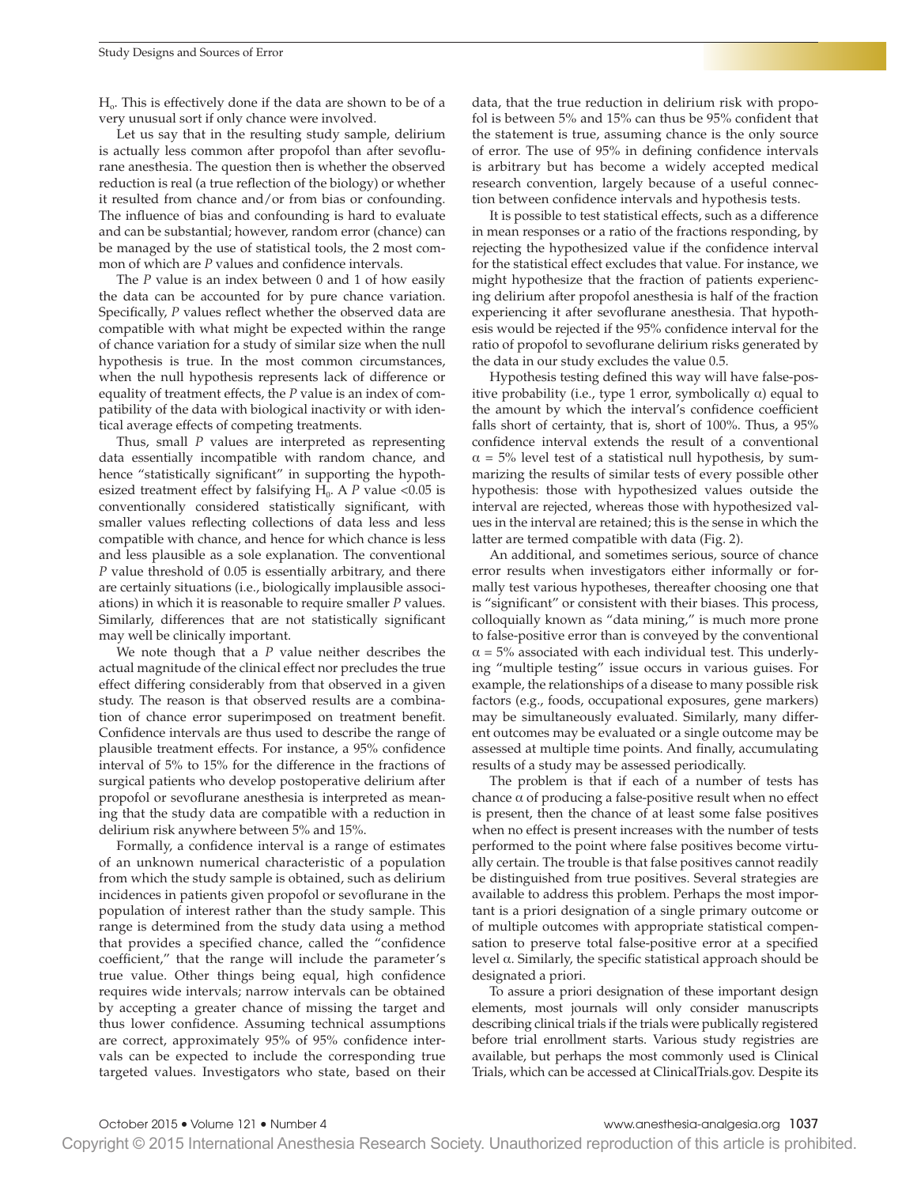$H<sub>o</sub>$ . This is effectively done if the data are shown to be of a very unusual sort if only chance were involved.

Let us say that in the resulting study sample, delirium is actually less common after propofol than after sevofurane anesthesia. The question then is whether the observed reduction is real (a true reflection of the biology) or whether it resulted from chance and/or from bias or confounding. The infuence of bias and confounding is hard to evaluate and can be substantial; however, random error (chance) can be managed by the use of statistical tools, the 2 most common of which are *P* values and confidence intervals.

The *P* value is an index between 0 and 1 of how easily the data can be accounted for by pure chance variation. Specifically, *P* values reflect whether the observed data are compatible with what might be expected within the range of chance variation for a study of similar size when the null hypothesis is true. In the most common circumstances, when the null hypothesis represents lack of difference or equality of treatment effects, the *P* value is an index of compatibility of the data with biological inactivity or with identical average effects of competing treatments.

Thus, small *P* values are interpreted as representing data essentially incompatible with random chance, and hence "statistically significant" in supporting the hypothesized treatment effect by falsifying  $H_0$ . A *P* value <0.05 is conventionally considered statistically significant, with smaller values refecting collections of data less and less compatible with chance, and hence for which chance is less and less plausible as a sole explanation. The conventional *P* value threshold of 0.05 is essentially arbitrary, and there are certainly situations (i.e., biologically implausible associations) in which it is reasonable to require smaller *P* values. Similarly, differences that are not statistically significant may well be clinically important.

We note though that a *P* value neither describes the actual magnitude of the clinical effect nor precludes the true effect differing considerably from that observed in a given study. The reason is that observed results are a combination of chance error superimposed on treatment beneft. Confidence intervals are thus used to describe the range of plausible treatment effects. For instance, a 95% confidence interval of 5% to 15% for the difference in the fractions of surgical patients who develop postoperative delirium after propofol or sevoflurane anesthesia is interpreted as meaning that the study data are compatible with a reduction in delirium risk anywhere between 5% and 15%.

Formally, a confidence interval is a range of estimates of an unknown numerical characteristic of a population from which the study sample is obtained, such as delirium incidences in patients given propofol or sevofurane in the population of interest rather than the study sample. This range is determined from the study data using a method that provides a specified chance, called the "confidence" coefficient," that the range will include the parameter's true value. Other things being equal, high confdence requires wide intervals; narrow intervals can be obtained by accepting a greater chance of missing the target and thus lower confidence. Assuming technical assumptions are correct, approximately 95% of 95% confdence intervals can be expected to include the corresponding true targeted values. Investigators who state, based on their

data, that the true reduction in delirium risk with propofol is between 5% and 15% can thus be 95% confdent that the statement is true, assuming chance is the only source of error. The use of 95% in defining confidence intervals is arbitrary but has become a widely accepted medical research convention, largely because of a useful connection between confidence intervals and hypothesis tests.

It is possible to test statistical effects, such as a difference in mean responses or a ratio of the fractions responding, by rejecting the hypothesized value if the confidence interval for the statistical effect excludes that value. For instance, we might hypothesize that the fraction of patients experiencing delirium after propofol anesthesia is half of the fraction experiencing it after sevoflurane anesthesia. That hypothesis would be rejected if the 95% confidence interval for the ratio of propofol to sevofurane delirium risks generated by the data in our study excludes the value 0.5.

Hypothesis testing defined this way will have false-positive probability (i.e., type 1 error, symbolically  $\alpha$ ) equal to the amount by which the interval's confidence coefficient falls short of certainty, that is, short of 100%. Thus, a 95% confdence interval extends the result of a conventional  $\alpha$  = 5% level test of a statistical null hypothesis, by summarizing the results of similar tests of every possible other hypothesis: those with hypothesized values outside the interval are rejected, whereas those with hypothesized values in the interval are retained; this is the sense in which the latter are termed compatible with data (Fig. 2).

An additional, and sometimes serious, source of chance error results when investigators either informally or formally test various hypotheses, thereafter choosing one that is "signifcant" or consistent with their biases. This process, colloquially known as "data mining," is much more prone to false-positive error than is conveyed by the conventional  $\alpha$  = 5% associated with each individual test. This underlying "multiple testing" issue occurs in various guises. For example, the relationships of a disease to many possible risk factors (e.g., foods, occupational exposures, gene markers) may be simultaneously evaluated. Similarly, many different outcomes may be evaluated or a single outcome may be assessed at multiple time points. And finally, accumulating results of a study may be assessed periodically.

The problem is that if each of a number of tests has chance α of producing a false-positive result when no effect is present, then the chance of at least some false positives when no effect is present increases with the number of tests performed to the point where false positives become virtually certain. The trouble is that false positives cannot readily be distinguished from true positives. Several strategies are available to address this problem. Perhaps the most important is a priori designation of a single primary outcome or of multiple outcomes with appropriate statistical compensation to preserve total false-positive error at a specifed level  $α$ . Similarly, the specific statistical approach should be designated a priori.

To assure a priori designation of these important design elements, most journals will only consider manuscripts describing clinical trials if the trials were publically registered before trial enrollment starts. Various study registries are available, but perhaps the most commonly used is Clinical Trials, which can be accessed at ClinicalTrials.gov. Despite its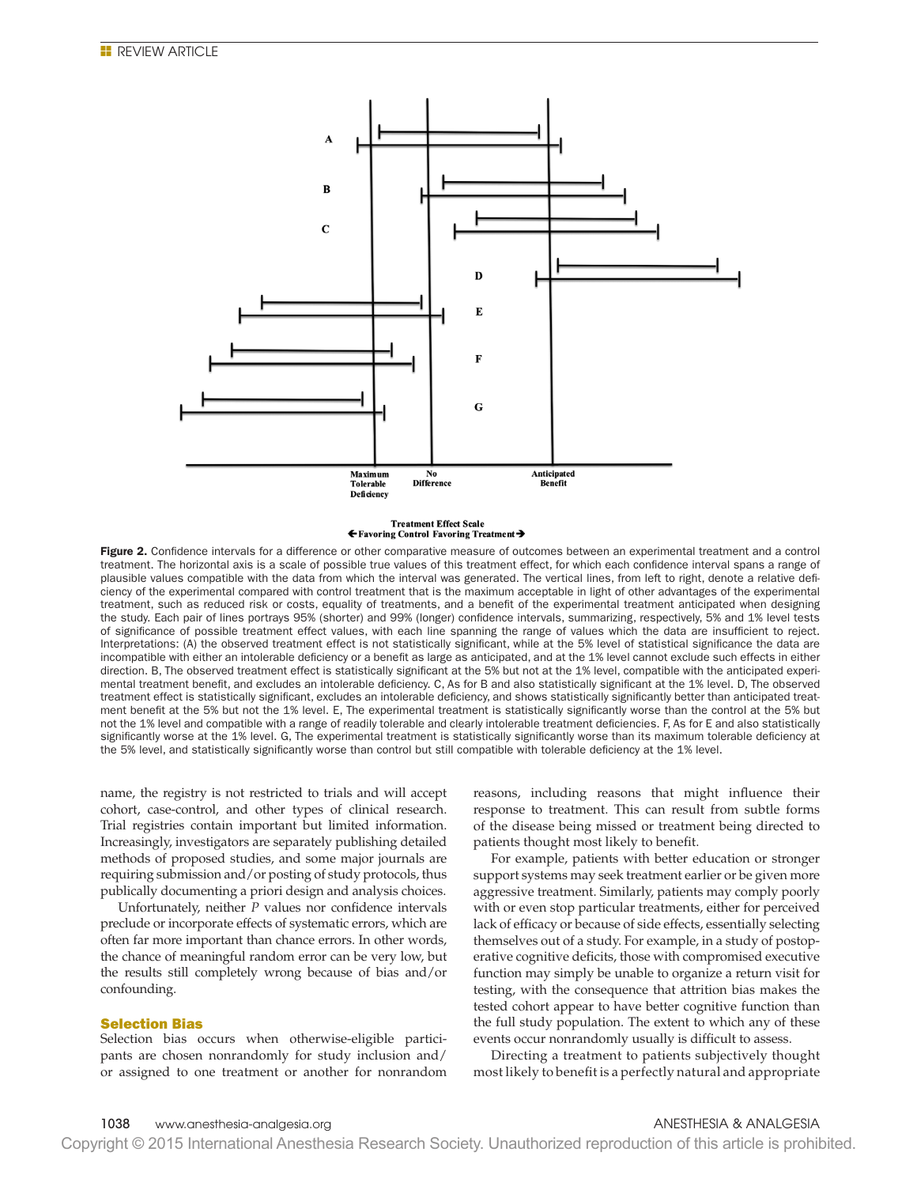

**Treatment Effect Scale** ← Favoring Control Favoring Treatment →

Figure 2. Confidence intervals for a difference or other comparative measure of outcomes between an experimental treatment and a control treatment. The horizontal axis is a scale of possible true values of this treatment effect, for which each confdence interval spans a range of plausible values compatible with the data from which the interval was generated. The vertical lines, from left to right, denote a relative deficiency of the experimental compared with control treatment that is the maximum acceptable in light of other advantages of the experimental treatment, such as reduced risk or costs, equality of treatments, and a beneft of the experimental treatment anticipated when designing the study. Each pair of lines portrays 95% (shorter) and 99% (longer) confdence intervals, summarizing, respectively, 5% and 1% level tests of signifcance of possible treatment effect values, with each line spanning the range of values which the data are insuffcient to reject. Interpretations: (A) the observed treatment effect is not statistically signifcant, while at the 5% level of statistical signifcance the data are incompatible with either an intolerable defciency or a beneft as large as anticipated, and at the 1% level cannot exclude such effects in either direction. B, The observed treatment effect is statistically signifcant at the 5% but not at the 1% level, compatible with the anticipated experimental treatment benefit, and excludes an intolerable deficiency. C, As for B and also statistically significant at the 1% level. D, The observed treatment effect is statistically signifcant, excludes an intolerable defciency, and shows statistically signifcantly better than anticipated treatment beneft at the 5% but not the 1% level. E, The experimental treatment is statistically signifcantly worse than the control at the 5% but not the 1% level and compatible with a range of readily tolerable and clearly intolerable treatment defciencies. F, As for E and also statistically signifcantly worse at the 1% level. G, The experimental treatment is statistically signifcantly worse than its maximum tolerable defciency at the 5% level, and statistically signifcantly worse than control but still compatible with tolerable defciency at the 1% level.

name, the registry is not restricted to trials and will accept cohort, case-control, and other types of clinical research. Trial registries contain important but limited information. Increasingly, investigators are separately publishing detailed methods of proposed studies, and some major journals are requiring submission and/or posting of study protocols, thus publically documenting a priori design and analysis choices.

Unfortunately, neither *P* values nor confidence intervals preclude or incorporate effects of systematic errors, which are often far more important than chance errors. In other words, the chance of meaningful random error can be very low, but the results still completely wrong because of bias and/or confounding.

# Selection Bias

Selection bias occurs when otherwise-eligible participants are chosen nonrandomly for study inclusion and/ or assigned to one treatment or another for nonrandom reasons, including reasons that might infuence their response to treatment. This can result from subtle forms of the disease being missed or treatment being directed to patients thought most likely to beneft.

For example, patients with better education or stronger support systems may seek treatment earlier or be given more aggressive treatment. Similarly, patients may comply poorly with or even stop particular treatments, either for perceived lack of efficacy or because of side effects, essentially selecting themselves out of a study. For example, in a study of postoperative cognitive deficits, those with compromised executive function may simply be unable to organize a return visit for testing, with the consequence that attrition bias makes the tested cohort appear to have better cognitive function than the full study population. The extent to which any of these events occur nonrandomly usually is difficult to assess.

Directing a treatment to patients subjectively thought most likely to benefit is a perfectly natural and appropriate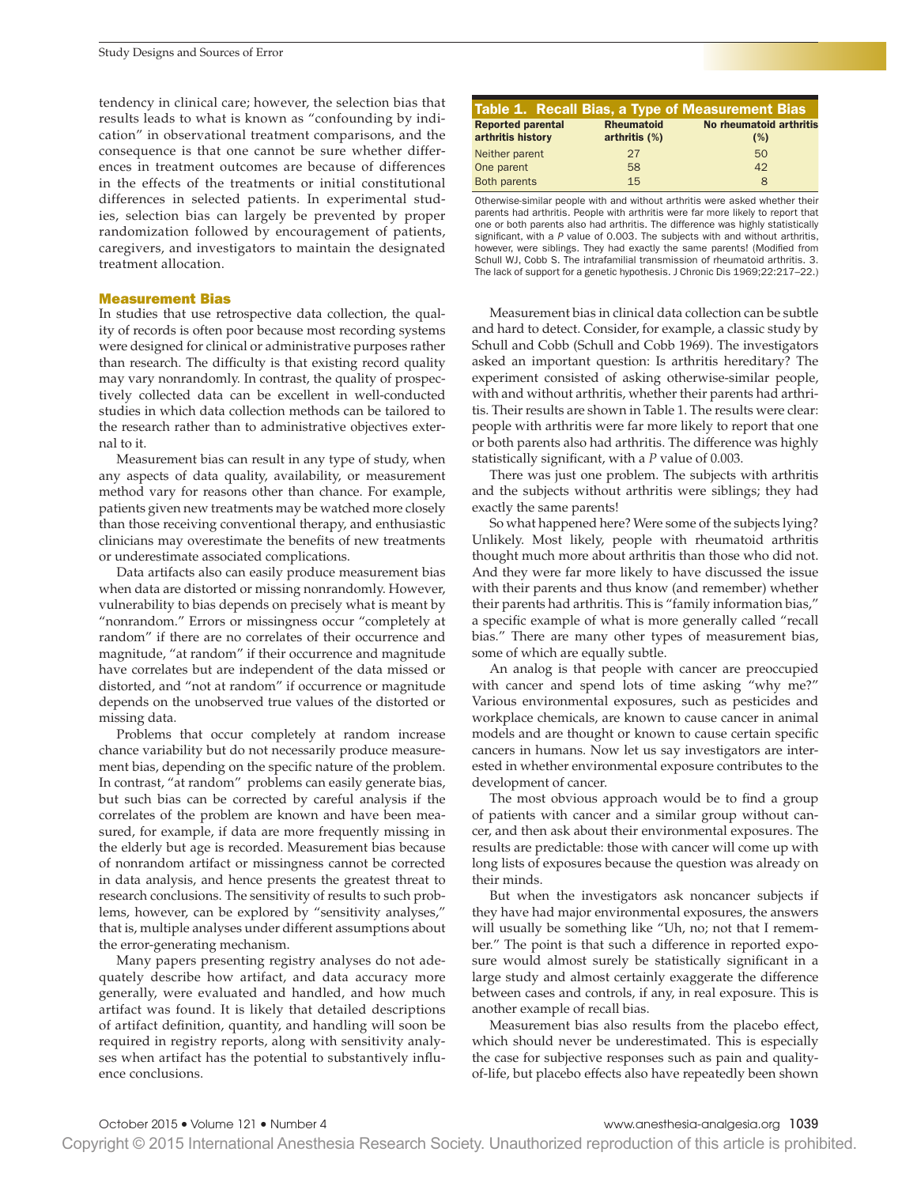tendency in clinical care; however, the selection bias that results leads to what is known as "confounding by indication" in observational treatment comparisons, and the consequence is that one cannot be sure whether differences in treatment outcomes are because of differences in the effects of the treatments or initial constitutional differences in selected patients. In experimental studies, selection bias can largely be prevented by proper randomization followed by encouragement of patients, caregivers, and investigators to maintain the designated treatment allocation.

# Measurement Bias

In studies that use retrospective data collection, the quality of records is often poor because most recording systems were designed for clinical or administrative purposes rather than research. The difficulty is that existing record quality may vary nonrandomly. In contrast, the quality of prospectively collected data can be excellent in well-conducted studies in which data collection methods can be tailored to the research rather than to administrative objectives external to it.

Measurement bias can result in any type of study, when any aspects of data quality, availability, or measurement method vary for reasons other than chance. For example, patients given new treatments may be watched more closely than those receiving conventional therapy, and enthusiastic clinicians may overestimate the benefts of new treatments or underestimate associated complications.

Data artifacts also can easily produce measurement bias when data are distorted or missing nonrandomly. However, vulnerability to bias depends on precisely what is meant by "nonrandom." Errors or missingness occur "completely at random" if there are no correlates of their occurrence and magnitude, "at random" if their occurrence and magnitude have correlates but are independent of the data missed or distorted, and "not at random" if occurrence or magnitude depends on the unobserved true values of the distorted or missing data.

Problems that occur completely at random increase chance variability but do not necessarily produce measurement bias, depending on the specific nature of the problem. In contrast, "at random" problems can easily generate bias, but such bias can be corrected by careful analysis if the correlates of the problem are known and have been measured, for example, if data are more frequently missing in the elderly but age is recorded. Measurement bias because of nonrandom artifact or missingness cannot be corrected in data analysis, and hence presents the greatest threat to research conclusions. The sensitivity of results to such problems, however, can be explored by "sensitivity analyses," that is, multiple analyses under different assumptions about the error-generating mechanism.

Many papers presenting registry analyses do not adequately describe how artifact, and data accuracy more generally, were evaluated and handled, and how much artifact was found. It is likely that detailed descriptions of artifact defnition, quantity, and handling will soon be required in registry reports, along with sensitivity analyses when artifact has the potential to substantively infuence conclusions.

|                          |                   | Table 1. Recall Bias, a Type of Measurement Bias |
|--------------------------|-------------------|--------------------------------------------------|
| <b>Reported parental</b> | <b>Rheumatoid</b> | No rheumatoid arthritis                          |
| arthritis history        | arthritis $(\%)$  | (%)                                              |
| Neither parent           | 27                | 50                                               |
| One parent               | 58                | 42                                               |
| <b>Both parents</b>      | 1.5               | 8                                                |

Otherwise-similar people with and without arthritis were asked whether their parents had arthritis. People with arthritis were far more likely to report that one or both parents also had arthritis. The difference was highly statistically signifcant, with a P value of 0.003. The subjects with and without arthritis, however, were siblings. They had exactly the same parents! (Modifed from Schull WJ, Cobb S. The intrafamilial transmission of rheumatoid arthritis. 3. The lack of support for a genetic hypothesis. J Chronic Dis 1969;22:217–22.)

Measurement bias in clinical data collection can be subtle and hard to detect. Consider, for example, a classic study by Schull and Cobb (Schull and Cobb 1969). The investigators asked an important question: Is arthritis hereditary? The experiment consisted of asking otherwise-similar people, with and without arthritis, whether their parents had arthritis. Their results are shown in Table 1. The results were clear: people with arthritis were far more likely to report that one or both parents also had arthritis. The difference was highly statistically significant, with a *P* value of 0.003.

There was just one problem. The subjects with arthritis and the subjects without arthritis were siblings; they had exactly the same parents!

So what happened here? Were some of the subjects lying? Unlikely. Most likely, people with rheumatoid arthritis thought much more about arthritis than those who did not. And they were far more likely to have discussed the issue with their parents and thus know (and remember) whether their parents had arthritis. This is "family information bias," a specific example of what is more generally called "recall bias." There are many other types of measurement bias, some of which are equally subtle.

An analog is that people with cancer are preoccupied with cancer and spend lots of time asking "why me?" Various environmental exposures, such as pesticides and workplace chemicals, are known to cause cancer in animal models and are thought or known to cause certain specifc cancers in humans. Now let us say investigators are interested in whether environmental exposure contributes to the development of cancer.

The most obvious approach would be to find a group of patients with cancer and a similar group without cancer, and then ask about their environmental exposures. The results are predictable: those with cancer will come up with long lists of exposures because the question was already on their minds.

But when the investigators ask noncancer subjects if they have had major environmental exposures, the answers will usually be something like "Uh, no; not that I remember." The point is that such a difference in reported exposure would almost surely be statistically significant in a large study and almost certainly exaggerate the difference between cases and controls, if any, in real exposure. This is another example of recall bias.

Measurement bias also results from the placebo effect, which should never be underestimated. This is especially the case for subjective responses such as pain and qualityof-life, but placebo effects also have repeatedly been shown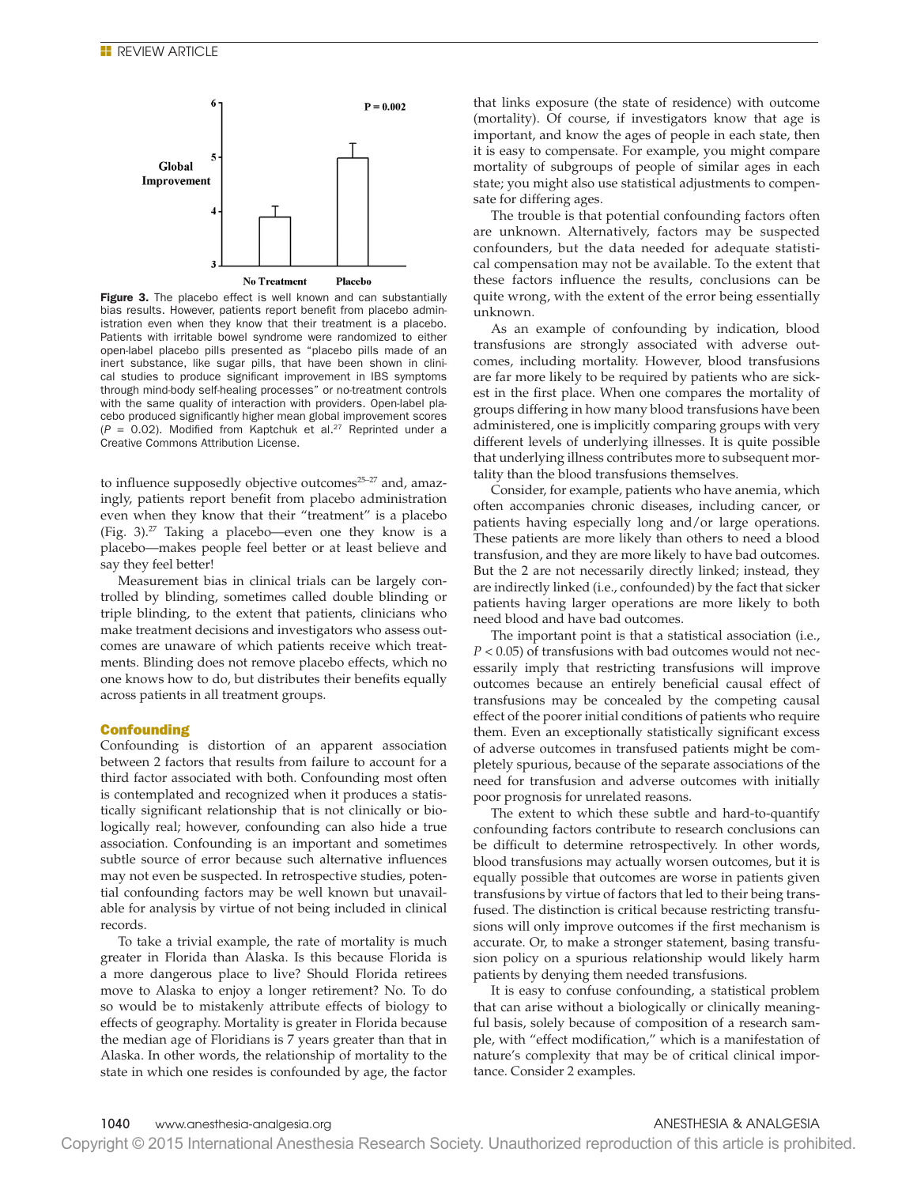

Figure 3. The placebo effect is well known and can substantially bias results. However, patients report beneft from placebo administration even when they know that their treatment is a placebo. Patients with irritable bowel syndrome were randomized to either open-label placebo pills presented as "placebo pills made of an inert substance, like sugar pills, that have been shown in clinical studies to produce signifcant improvement in IBS symptoms through mind-body self-healing processes" or no-treatment controls with the same quality of interaction with providers. Open-label placebo produced signifcantly higher mean global improvement scores  $(P = 0.02)$ . Modified from Kaptchuk et al.<sup>27</sup> Reprinted under a Creative Commons Attribution License.

to influence supposedly objective outcomes<sup>25-27</sup> and, amazingly, patients report beneft from placebo administration even when they know that their "treatment" is a placebo (Fig. 3). 27 Taking a placebo—even one they know is a placebo—makes people feel better or at least believe and say they feel better!

Measurement bias in clinical trials can be largely controlled by blinding, sometimes called double blinding or triple blinding, to the extent that patients, clinicians who make treatment decisions and investigators who assess outcomes are unaware of which patients receive which treatments. Blinding does not remove placebo effects, which no one knows how to do, but distributes their benefts equally across patients in all treatment groups.

# **Confounding**

Confounding is distortion of an apparent association between 2 factors that results from failure to account for a third factor associated with both. Confounding most often is contemplated and recognized when it produces a statistically signifcant relationship that is not clinically or biologically real; however, confounding can also hide a true association. Confounding is an important and sometimes subtle source of error because such alternative infuences may not even be suspected. In retrospective studies, potential confounding factors may be well known but unavailable for analysis by virtue of not being included in clinical records.

To take a trivial example, the rate of mortality is much greater in Florida than Alaska. Is this because Florida is a more dangerous place to live? Should Florida retirees move to Alaska to enjoy a longer retirement? No. To do so would be to mistakenly attribute effects of biology to effects of geography. Mortality is greater in Florida because the median age of Floridians is 7 years greater than that in Alaska. In other words, the relationship of mortality to the state in which one resides is confounded by age, the factor that links exposure (the state of residence) with outcome (mortality). Of course, if investigators know that age is important, and know the ages of people in each state, then it is easy to compensate. For example, you might compare mortality of subgroups of people of similar ages in each state; you might also use statistical adjustments to compensate for differing ages.

The trouble is that potential confounding factors often are unknown. Alternatively, factors may be suspected confounders, but the data needed for adequate statistical compensation may not be available. To the extent that these factors infuence the results, conclusions can be quite wrong, with the extent of the error being essentially unknown.

As an example of confounding by indication, blood transfusions are strongly associated with adverse outcomes, including mortality. However, blood transfusions are far more likely to be required by patients who are sickest in the frst place. When one compares the mortality of groups differing in how many blood transfusions have been administered, one is implicitly comparing groups with very different levels of underlying illnesses. It is quite possible that underlying illness contributes more to subsequent mortality than the blood transfusions themselves.

Consider, for example, patients who have anemia, which often accompanies chronic diseases, including cancer, or patients having especially long and/or large operations. These patients are more likely than others to need a blood transfusion, and they are more likely to have bad outcomes. But the 2 are not necessarily directly linked; instead, they are indirectly linked (i.e., confounded) by the fact that sicker patients having larger operations are more likely to both need blood and have bad outcomes.

The important point is that a statistical association (i.e., *P* < 0.05) of transfusions with bad outcomes would not necessarily imply that restricting transfusions will improve outcomes because an entirely beneficial causal effect of transfusions may be concealed by the competing causal effect of the poorer initial conditions of patients who require them. Even an exceptionally statistically significant excess of adverse outcomes in transfused patients might be completely spurious, because of the separate associations of the need for transfusion and adverse outcomes with initially poor prognosis for unrelated reasons.

The extent to which these subtle and hard-to-quantify confounding factors contribute to research conclusions can be difficult to determine retrospectively. In other words, blood transfusions may actually worsen outcomes, but it is equally possible that outcomes are worse in patients given transfusions by virtue of factors that led to their being transfused. The distinction is critical because restricting transfusions will only improve outcomes if the first mechanism is accurate. Or, to make a stronger statement, basing transfusion policy on a spurious relationship would likely harm patients by denying them needed transfusions.

It is easy to confuse confounding, a statistical problem that can arise without a biologically or clinically meaningful basis, solely because of composition of a research sample, with "effect modification," which is a manifestation of nature's complexity that may be of critical clinical importance. Consider 2 examples.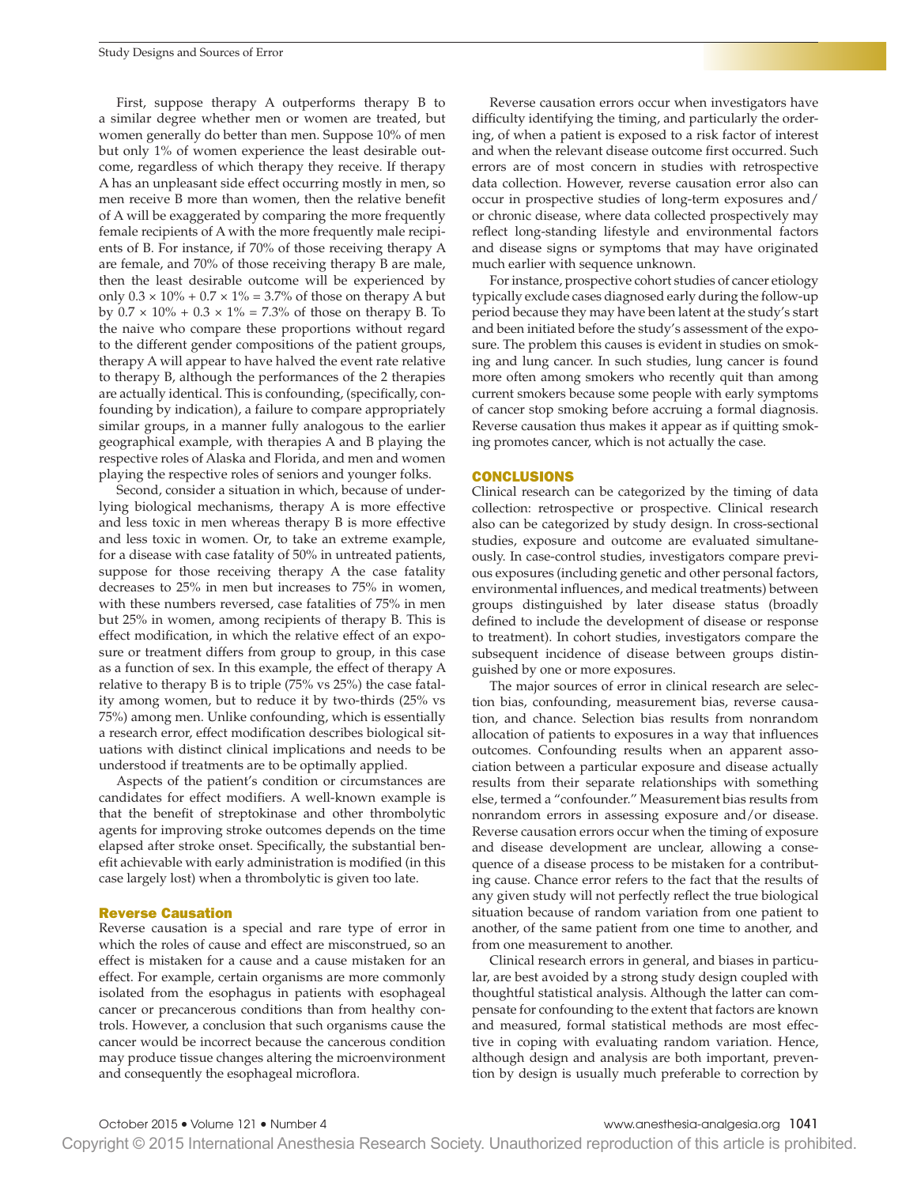First, suppose therapy A outperforms therapy B to a similar degree whether men or women are treated, but women generally do better than men. Suppose 10% of men but only 1% of women experience the least desirable outcome, regardless of which therapy they receive. If therapy A has an unpleasant side effect occurring mostly in men, so men receive B more than women, then the relative beneft of A will be exaggerated by comparing the more frequently female recipients of A with the more frequently male recipients of B. For instance, if 70% of those receiving therapy A are female, and 70% of those receiving therapy B are male, then the least desirable outcome will be experienced by only  $0.3 \times 10\% + 0.7 \times 1\% = 3.7\%$  of those on therapy A but by  $0.7 \times 10\% + 0.3 \times 1\% = 7.3\%$  of those on therapy B. To the naive who compare these proportions without regard to the different gender compositions of the patient groups, therapy A will appear to have halved the event rate relative to therapy B, although the performances of the 2 therapies are actually identical. This is confounding, (specifically, confounding by indication), a failure to compare appropriately similar groups, in a manner fully analogous to the earlier geographical example, with therapies A and B playing the respective roles of Alaska and Florida, and men and women playing the respective roles of seniors and younger folks.

Second, consider a situation in which, because of underlying biological mechanisms, therapy A is more effective and less toxic in men whereas therapy B is more effective and less toxic in women. Or, to take an extreme example, for a disease with case fatality of 50% in untreated patients, suppose for those receiving therapy A the case fatality decreases to 25% in men but increases to 75% in women, with these numbers reversed, case fatalities of 75% in men but 25% in women, among recipients of therapy B. This is effect modification, in which the relative effect of an exposure or treatment differs from group to group, in this case as a function of sex. In this example, the effect of therapy A relative to therapy B is to triple (75% vs 25%) the case fatality among women, but to reduce it by two-thirds (25% vs 75%) among men. Unlike confounding, which is essentially a research error, effect modification describes biological situations with distinct clinical implications and needs to be understood if treatments are to be optimally applied.

Aspects of the patient's condition or circumstances are candidates for effect modifers. A well-known example is that the benefit of streptokinase and other thrombolytic agents for improving stroke outcomes depends on the time elapsed after stroke onset. Specifically, the substantial benefit achievable with early administration is modified (in this case largely lost) when a thrombolytic is given too late.

# Reverse Causation

Reverse causation is a special and rare type of error in which the roles of cause and effect are misconstrued, so an effect is mistaken for a cause and a cause mistaken for an effect. For example, certain organisms are more commonly isolated from the esophagus in patients with esophageal cancer or precancerous conditions than from healthy controls. However, a conclusion that such organisms cause the cancer would be incorrect because the cancerous condition may produce tissue changes altering the microenvironment and consequently the esophageal microflora.

Reverse causation errors occur when investigators have difficulty identifying the timing, and particularly the ordering, of when a patient is exposed to a risk factor of interest and when the relevant disease outcome first occurred. Such errors are of most concern in studies with retrospective data collection. However, reverse causation error also can occur in prospective studies of long-term exposures and/ or chronic disease, where data collected prospectively may reflect long-standing lifestyle and environmental factors and disease signs or symptoms that may have originated much earlier with sequence unknown.

For instance, prospective cohort studies of cancer etiology typically exclude cases diagnosed early during the follow-up period because they may have been latent at the study's start and been initiated before the study's assessment of the exposure. The problem this causes is evident in studies on smoking and lung cancer. In such studies, lung cancer is found more often among smokers who recently quit than among current smokers because some people with early symptoms of cancer stop smoking before accruing a formal diagnosis. Reverse causation thus makes it appear as if quitting smoking promotes cancer, which is not actually the case.

# CONCLUSIONS

Clinical research can be categorized by the timing of data collection: retrospective or prospective. Clinical research also can be categorized by study design. In cross-sectional studies, exposure and outcome are evaluated simultaneously. In case-control studies, investigators compare previous exposures (including genetic and other personal factors, environmental infuences, and medical treatments) between groups distinguished by later disease status (broadly defined to include the development of disease or response to treatment). In cohort studies, investigators compare the subsequent incidence of disease between groups distinguished by one or more exposures.

The major sources of error in clinical research are selection bias, confounding, measurement bias, reverse causation, and chance. Selection bias results from nonrandom allocation of patients to exposures in a way that infuences outcomes. Confounding results when an apparent association between a particular exposure and disease actually results from their separate relationships with something else, termed a "confounder." Measurement bias results from nonrandom errors in assessing exposure and/or disease. Reverse causation errors occur when the timing of exposure and disease development are unclear, allowing a consequence of a disease process to be mistaken for a contributing cause. Chance error refers to the fact that the results of any given study will not perfectly refect the true biological situation because of random variation from one patient to another, of the same patient from one time to another, and from one measurement to another.

Clinical research errors in general, and biases in particular, are best avoided by a strong study design coupled with thoughtful statistical analysis. Although the latter can compensate for confounding to the extent that factors are known and measured, formal statistical methods are most effective in coping with evaluating random variation. Hence, although design and analysis are both important, prevention by design is usually much preferable to correction by